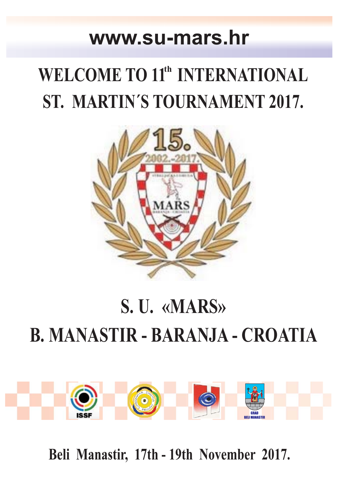### **www.su-mars.hr**

## **WELCOME TO 11<sup>th</sup> INTERNATIONAL ST. MARTIN´S TOURNAMENT 2017.**



# **S. U. «MARS» B. MANASTIR - BARANJA - CROATIA**



**Beli Manastir, 17th - 19th November 2017.**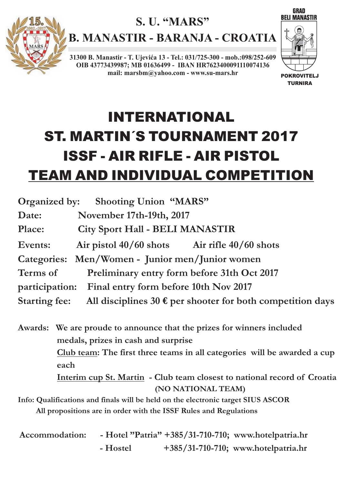

**B. MANASTIR - BARANJA - CROATIA**

**31300 B. Manastir - T. Ujevića 13 - Tel.: 031/725-300 - mob.:098/252-609 OIB 43773439987; MB 01636499 - IBAN HR7623400091110074136 mail: marsbm@yahoo.com - www.su-mars.hr**



**GRAD** 

## INTERNATIONAL ST. MARTIN´S TOURNAMENT 2017 ISSF - AIR RIFLE - AIR PISTOL TEAM AND INDIVIDUAL COMPETITION

| Organized by: Shooting Union "MARS"                                                         |  |  |  |
|---------------------------------------------------------------------------------------------|--|--|--|
| Date:<br>November 17th-19th, 2017                                                           |  |  |  |
| <b>City Sport Hall - BELI MANASTIR</b><br><b>Place:</b>                                     |  |  |  |
| Air pistol $40/60$ shots Air rifle $40/60$ shots<br>Events:                                 |  |  |  |
| Categories: Men/Women - Junior men/Junior women                                             |  |  |  |
| Terms of<br>Preliminary entry form before 31th Oct 2017                                     |  |  |  |
| participation: Final entry form before 10th Nov 2017                                        |  |  |  |
| <b>Starting fee:</b><br>All disciplines 30 $\epsilon$ per shooter for both competition days |  |  |  |
| Awards: We are proude to announce that the prizes for winners included                      |  |  |  |
| medals, prizes in cash and surprise                                                         |  |  |  |
| Club team: The first three teams in all categories will be awarded a cup                    |  |  |  |
| each                                                                                        |  |  |  |
| Interim cup St. Martin - Club team closest to national record of Croatia                    |  |  |  |
| (NO NATIONAL TEAM)                                                                          |  |  |  |
| Info: Qualifications and finals will be held on the electronic target SIUS ASCOR            |  |  |  |
| All propositions are in order with the ISSF Rules and Regulations                           |  |  |  |

| <b>Accommodation:</b> |          | - Hotel "Patria" +385/31-710-710; www.hotelpatria.hr |
|-----------------------|----------|------------------------------------------------------|
|                       | - Hostel | $+385/31-710-710$ ; www.hotelpatria.hr               |